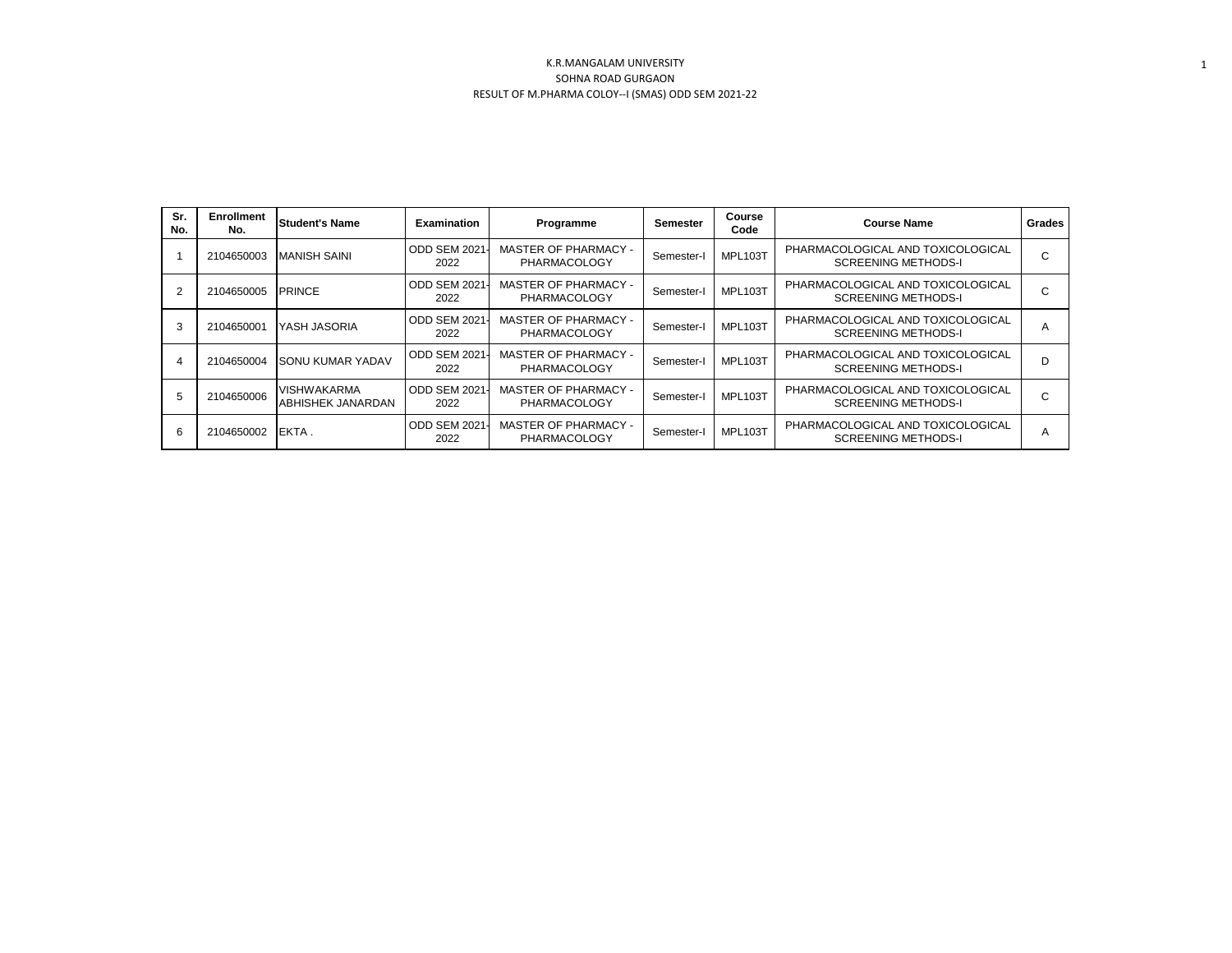| Sr.<br>No. | <b>Enrollment</b><br>No. | <b>Student's Name</b>                   | <b>Examination</b>          | Programme                                   | Semester   | Course<br>Code | <b>Course Name</b><br>Grades                                    |             |
|------------|--------------------------|-----------------------------------------|-----------------------------|---------------------------------------------|------------|----------------|-----------------------------------------------------------------|-------------|
|            | 2104650003               | <b>MANISH SAINI</b>                     | ODD SEM 2021<br>2022        | <b>MASTER OF PHARMACY -</b><br>PHARMACOLOGY | Semester-I | MPL103T        | PHARMACOLOGICAL AND TOXICOLOGICAL<br><b>SCREENING METHODS-I</b> | $\sim$<br>U |
|            | 2104650005               | <b>PRINCE</b>                           | ODD SEM 2021<br>2022        | <b>MASTER OF PHARMACY -</b><br>PHARMACOLOGY | Semester-I | MPL103T        | PHARMACOLOGICAL AND TOXICOLOGICAL<br><b>SCREENING METHODS-I</b> | U           |
| 3          | 2104650001               | YASH JASORIA                            | ODD SEM 2021<br>2022        | <b>MASTER OF PHARMACY -</b><br>PHARMACOLOGY | Semester-I | MPL103T        | PHARMACOLOGICAL AND TOXICOLOGICAL<br><b>SCREENING METHODS-I</b> | А           |
| 4          | 2104650004               | <b>SONU KUMAR YADAV</b>                 | <b>ODD SEM 2021</b><br>2022 | <b>MASTER OF PHARMACY -</b><br>PHARMACOLOGY | Semester-I | MPL103T        | PHARMACOLOGICAL AND TOXICOLOGICAL<br><b>SCREENING METHODS-I</b> | D           |
| 5          | 2104650006               | <b>VISHWAKARMA</b><br>ABHISHEK JANARDAN | <b>ODD SEM 2021</b><br>2022 | MASTER OF PHARMACY -<br>PHARMACOLOGY        | Semester-I | MPL103T        | PHARMACOLOGICAL AND TOXICOLOGICAL<br><b>SCREENING METHODS-I</b> | $\sim$<br>◡ |
| 6          | 2104650002               | IEKTA.                                  | ODD SEM 2021<br>2022        | <b>MASTER OF PHARMACY -</b><br>PHARMACOLOGY | Semester-I | <b>MPL103T</b> | PHARMACOLOGICAL AND TOXICOLOGICAL<br><b>SCREENING METHODS-I</b> | A           |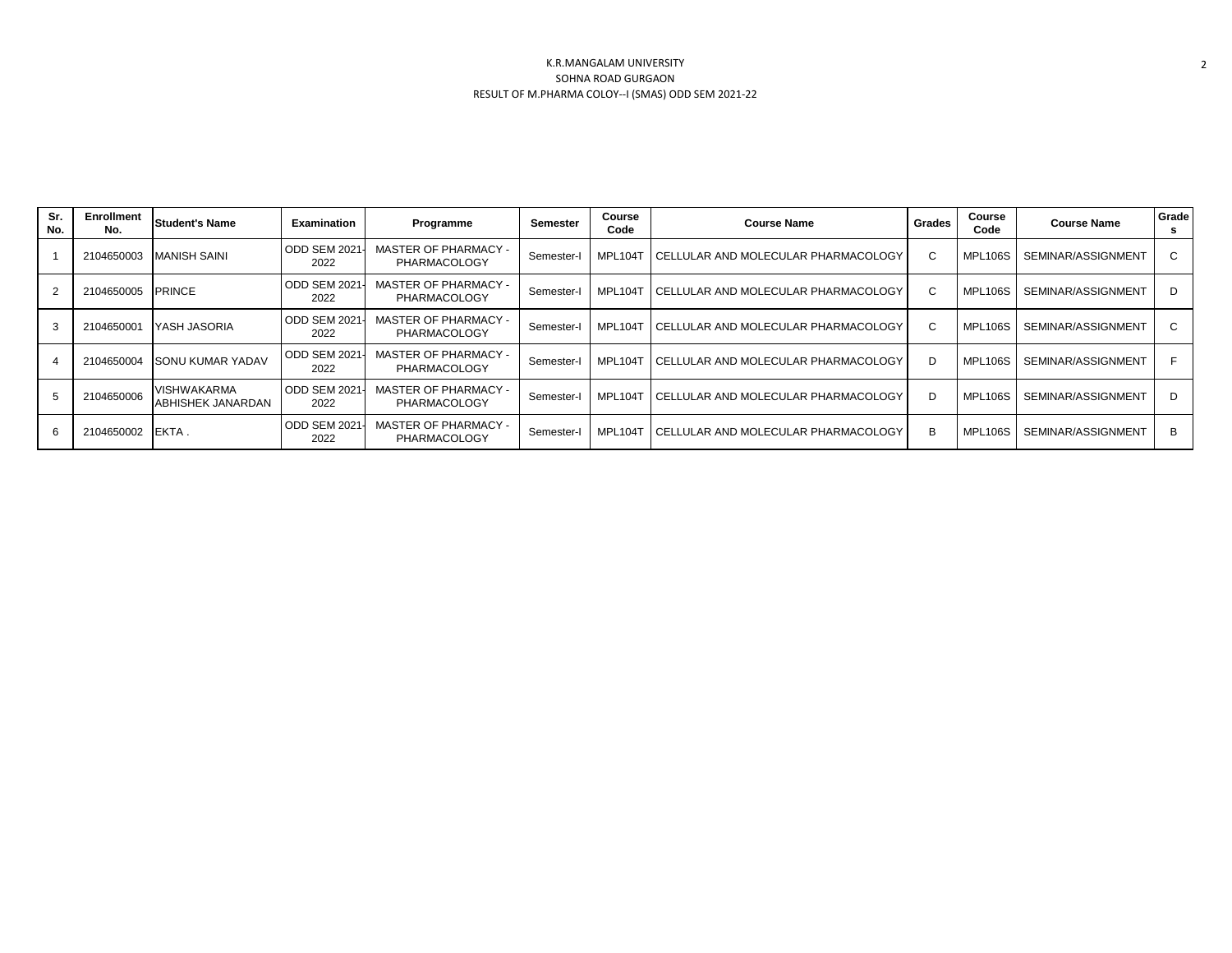| Sr.<br>No. | Enrollment<br>No. | <b>Student's Name</b>                          | <b>Examination</b>          | Programme                                   | Semester   | Course<br><b>Course Name</b><br>Code |                                       | Grades | Course<br>Code | <b>Course Name</b> | Grade<br>s |
|------------|-------------------|------------------------------------------------|-----------------------------|---------------------------------------------|------------|--------------------------------------|---------------------------------------|--------|----------------|--------------------|------------|
|            | 2104650003        | <b>MANISH SAINI</b>                            | ODD SEM 2021<br>2022        | <b>MASTER OF PHARMACY -</b><br>PHARMACOLOGY | Semester-I | MPL104T                              | I CELLULAR AND MOLECULAR PHARMACOLOGY | C.     | MPL106S        | SEMINAR/ASSIGNMENT | C          |
|            | 2104650005        | <b>PRINCE</b>                                  | <b>ODD SEM 2021</b><br>2022 | <b>MASTER OF PHARMACY -</b><br>PHARMACOLOGY | Semester-I | MPL104T                              | CELLULAR AND MOLECULAR PHARMACOLOGY   | C.     | MPL106S        | SEMINAR/ASSIGNMENT | D          |
| 3          | 2104650001        | YASH JASORIA                                   | <b>ODD SEM 2021</b><br>2022 | <b>MASTER OF PHARMACY -</b><br>PHARMACOLOGY | Semester-I | MPL104T                              | I CELLULAR AND MOLECULAR PHARMACOLOGY | C.     | MPL106S        | SEMINAR/ASSIGNMENT | C          |
|            | 2104650004        | <b>SONU KUMAR YADAV</b>                        | <b>ODD SEM 2021</b><br>2022 | <b>MASTER OF PHARMACY -</b><br>PHARMACOLOGY | Semester-I | MPL104T                              | I CELLULAR AND MOLECULAR PHARMACOLOGY | D      | MPL106S        | SEMINAR/ASSIGNMENT | E          |
| 5          | 2104650006        | <b>VISHWAKARMA</b><br><b>ABHISHEK JANARDAN</b> | <b>ODD SEM 2021</b><br>2022 | <b>MASTER OF PHARMACY -</b><br>PHARMACOLOGY | Semester-I | MPL104T                              | I CELLULAR AND MOLECULAR PHARMACOLOGY | D.     | MPL106S        | SEMINAR/ASSIGNMENT | D          |
| 6          | 2104650002        | EKTA.                                          | <b>ODD SEM 2021</b><br>2022 | <b>MASTER OF PHARMACY -</b><br>PHARMACOLOGY | Semester-I | MPL104T                              | I CELLULAR AND MOLECULAR PHARMACOLOGY | в      | MPL106S        | SEMINAR/ASSIGNMENT | B          |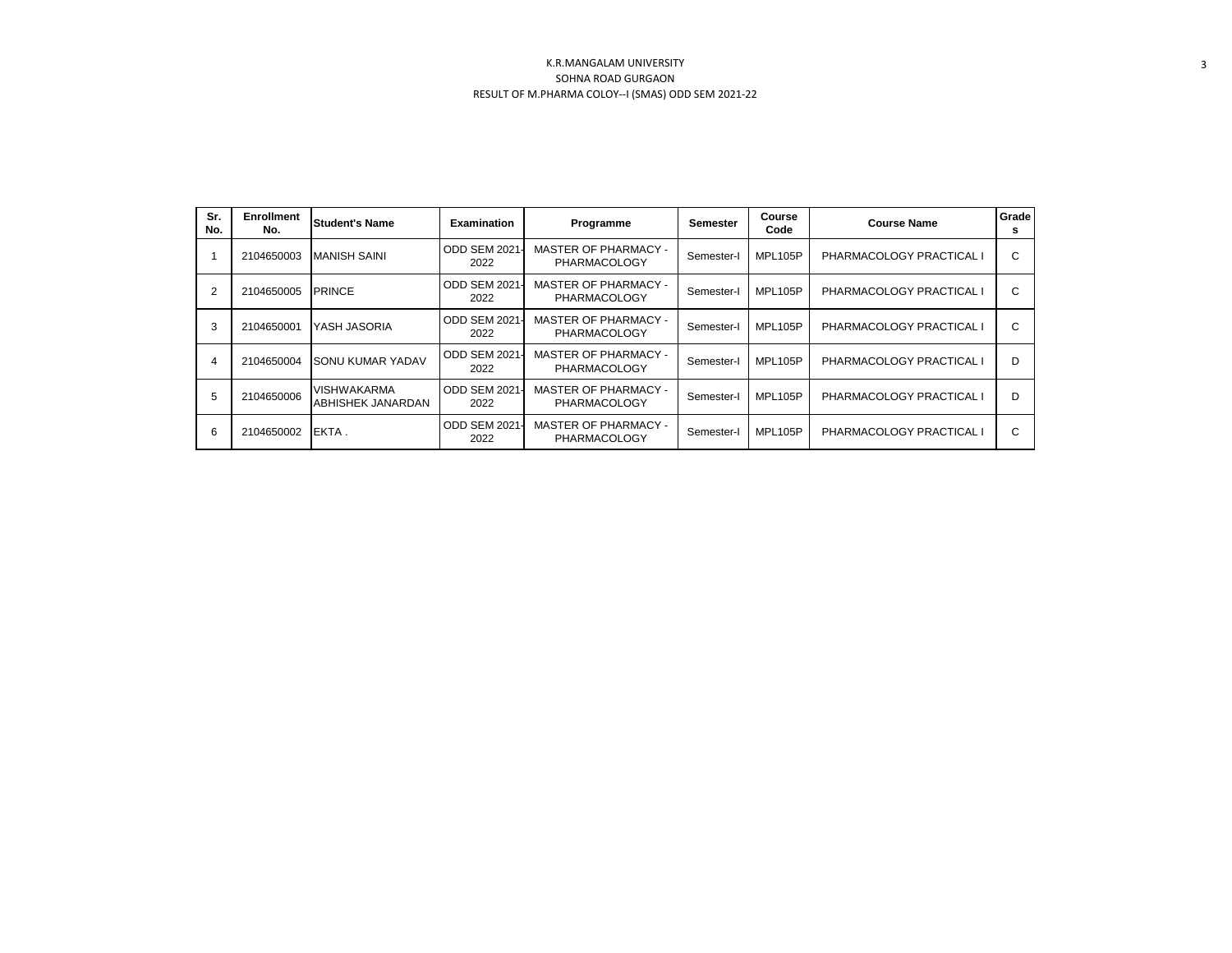| Sr.<br>No. | <b>Enrollment</b><br>No. | <b>Student's Name</b>            | <b>Examination</b>           | Programme                                          | Semester   | Course<br>Code | <b>Course Name</b>       | Grade<br>s |
|------------|--------------------------|----------------------------------|------------------------------|----------------------------------------------------|------------|----------------|--------------------------|------------|
|            | 2104650003               | <b>MANISH SAINI</b>              | <b>ODD SEM 2021-</b><br>2022 | <b>MASTER OF PHARMACY -</b><br><b>PHARMACOLOGY</b> | Semester-I | MPL105P        | PHARMACOLOGY PRACTICAL I | C          |
| 2          | 2104650005               | <b>PRINCE</b>                    | ODD SEM 2021<br>2022         | <b>MASTER OF PHARMACY -</b><br><b>PHARMACOLOGY</b> | Semester-I | MPL105P        | PHARMACOLOGY PRACTICAL I | С          |
| 3          | 2104650001               | YASH JASORIA                     | ODD SEM 2021<br>2022         | <b>MASTER OF PHARMACY -</b><br>PHARMACOLOGY        | Semester-I | MPL105P        | PHARMACOLOGY PRACTICAL I | C          |
| 4          | 2104650004               | <b>SONU KUMAR YADAV</b>          | <b>ODD SEM 2021-</b><br>2022 | <b>MASTER OF PHARMACY -</b><br><b>PHARMACOLOGY</b> | Semester-I | MPL105P        | PHARMACOLOGY PRACTICAL I | D          |
| 5          | 2104650006               | VISHWAKARMA<br>ABHISHEK JANARDAN | <b>ODD SEM 2021</b><br>2022  | <b>MASTER OF PHARMACY -</b><br>PHARMACOLOGY        | Semester-  | MPL105P        | PHARMACOLOGY PRACTICAL I | D          |
| 6          | 2104650002               | EKTA.                            | <b>ODD SEM 2021-</b><br>2022 | <b>MASTER OF PHARMACY -</b><br>PHARMACOLOGY        | Semester-I | MPL105P        | PHARMACOLOGY PRACTICAL I | C          |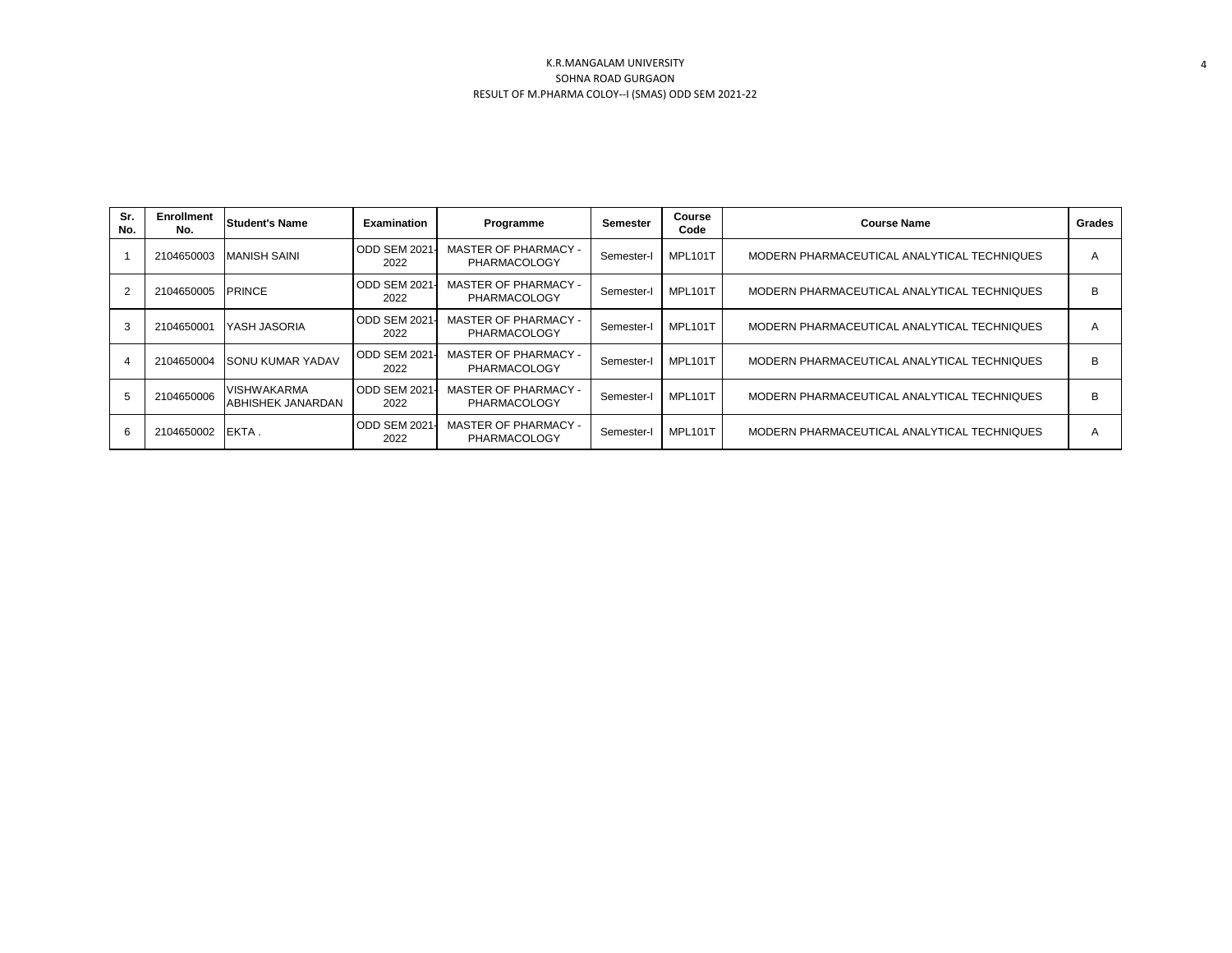| Sr.<br>No. | <b>Enrollment</b><br>No. | Student's Name                          | <b>Examination</b>    | Programme                                          | Semester   | Course<br>Code | <b>Course Name</b>                          | Grades |
|------------|--------------------------|-----------------------------------------|-----------------------|----------------------------------------------------|------------|----------------|---------------------------------------------|--------|
|            | 2104650003               | <b>MANISH SAINI</b>                     | ODD SEM 2021-<br>2022 | MASTER OF PHARMACY -<br>PHARMACOLOGY               | Semester-I | <b>MPL101T</b> | MODERN PHARMACEUTICAL ANALYTICAL TECHNIQUES | A      |
|            | 2104650005               | <b>PRINCE</b>                           | ODD SEM 2021-<br>2022 | <b>MASTER OF PHARMACY -</b><br><b>PHARMACOLOGY</b> | Semester-  | <b>MPL101T</b> | MODERN PHARMACEUTICAL ANALYTICAL TECHNIQUES | B      |
| 3          | 2104650001               | <b>YASH JASORIA</b>                     | ODD SEM 2021<br>2022  | <b>MASTER OF PHARMACY -</b><br><b>PHARMACOLOGY</b> | Semester-I | MPL101T        | MODERN PHARMACEUTICAL ANALYTICAL TECHNIQUES | A      |
|            |                          | 2104650004 SONU KUMAR YADAV             | ODD SEM 2021-<br>2022 | <b>MASTER OF PHARMACY -</b><br><b>PHARMACOLOGY</b> | Semester-I | <b>MPL101T</b> | MODERN PHARMACEUTICAL ANALYTICAL TECHNIQUES | B      |
|            | 2104650006               | <b>VISHWAKARMA</b><br>ABHISHEK JANARDAN | ODD SEM 2021-<br>2022 | <b>MASTER OF PHARMACY -</b><br><b>PHARMACOLOGY</b> | Semester-I | MPL101T        | MODERN PHARMACEUTICAL ANALYTICAL TECHNIQUES | B      |
| 6          | 2104650002               | <b>IEKTA.</b>                           | ODD SEM 2021-<br>2022 | MASTER OF PHARMACY -<br><b>PHARMACOLOGY</b>        | Semester-I | MPL101T        | MODERN PHARMACEUTICAL ANALYTICAL TECHNIQUES | A      |